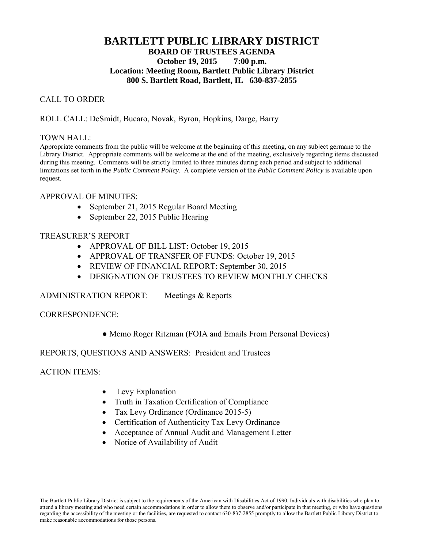# **BARTLETT PUBLIC LIBRARY DISTRICT BOARD OF TRUSTEES AGENDA October 19, 2015 7:00 p.m. Location: Meeting Room, Bartlett Public Library District 800 S. Bartlett Road, Bartlett, IL 630-837-2855**

## CALL TO ORDER

### ROLL CALL: DeSmidt, Bucaro, Novak, Byron, Hopkins, Darge, Barry

#### TOWN HALL:

Appropriate comments from the public will be welcome at the beginning of this meeting, on any subject germane to the Library District. Appropriate comments will be welcome at the end of the meeting, exclusively regarding items discussed during this meeting. Comments will be strictly limited to three minutes during each period and subject to additional limitations set forth in the *Public Comment Policy*. A complete version of the *Public Comment Policy* is available upon request.

#### APPROVAL OF MINUTES:

- September 21, 2015 Regular Board Meeting
- September 22, 2015 Public Hearing

## TREASURER'S REPORT

- APPROVAL OF BILL LIST: October 19, 2015
- APPROVAL OF TRANSFER OF FUNDS: October 19, 2015
- REVIEW OF FINANCIAL REPORT: September 30, 2015
- **DESIGNATION OF TRUSTEES TO REVIEW MONTHLY CHECKS**

#### ADMINISTRATION REPORT: Meetings & Reports

#### CORRESPONDENCE:

● Memo Roger Ritzman (FOIA and Emails From Personal Devices)

#### REPORTS, QUESTIONS AND ANSWERS: President and Trustees

ACTION ITEMS:

- Levy Explanation
- Truth in Taxation Certification of Compliance
- Tax Levy Ordinance (Ordinance 2015-5)
- Certification of Authenticity Tax Levy Ordinance
- Acceptance of Annual Audit and Management Letter
- Notice of Availability of Audit